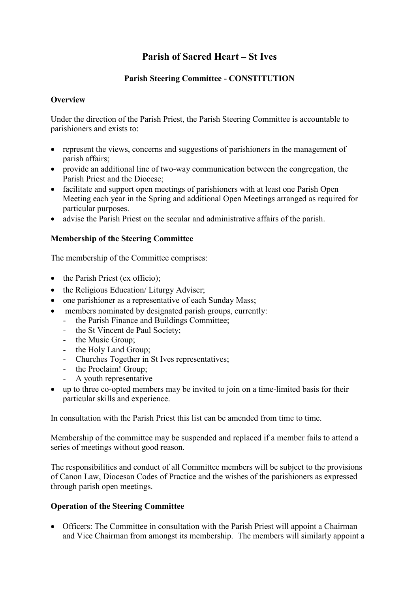# **Parish of Sacred Heart – St Ives**

## **Parish Steering Committee - CONSTITUTION**

### **Overview**

Under the direction of the Parish Priest, the Parish Steering Committee is accountable to parishioners and exists to:

- represent the views, concerns and suggestions of parishioners in the management of parish affairs;
- provide an additional line of two-way communication between the congregation, the Parish Priest and the Diocese;
- facilitate and support open meetings of parishioners with at least one Parish Open Meeting each year in the Spring and additional Open Meetings arranged as required for particular purposes.
- advise the Parish Priest on the secular and administrative affairs of the parish.

## **Membership of the Steering Committee**

The membership of the Committee comprises:

- the Parish Priest (ex officio);
- the Religious Education/ Liturgy Adviser;
- one parishioner as a representative of each Sunday Mass;
- members nominated by designated parish groups, currently:
	- the Parish Finance and Buildings Committee;
	- the St Vincent de Paul Society;
	- the Music Group;
	- the Holy Land Group;
	- Churches Together in St Ives representatives;
	- the Proclaim! Group;
	- A youth representative
- up to three co-opted members may be invited to join on a time-limited basis for their particular skills and experience.

In consultation with the Parish Priest this list can be amended from time to time.

Membership of the committee may be suspended and replaced if a member fails to attend a series of meetings without good reason.

The responsibilities and conduct of all Committee members will be subject to the provisions of Canon Law, Diocesan Codes of Practice and the wishes of the parishioners as expressed through parish open meetings.

#### **Operation of the Steering Committee**

 Officers: The Committee in consultation with the Parish Priest will appoint a Chairman and Vice Chairman from amongst its membership.The members will similarly appoint a